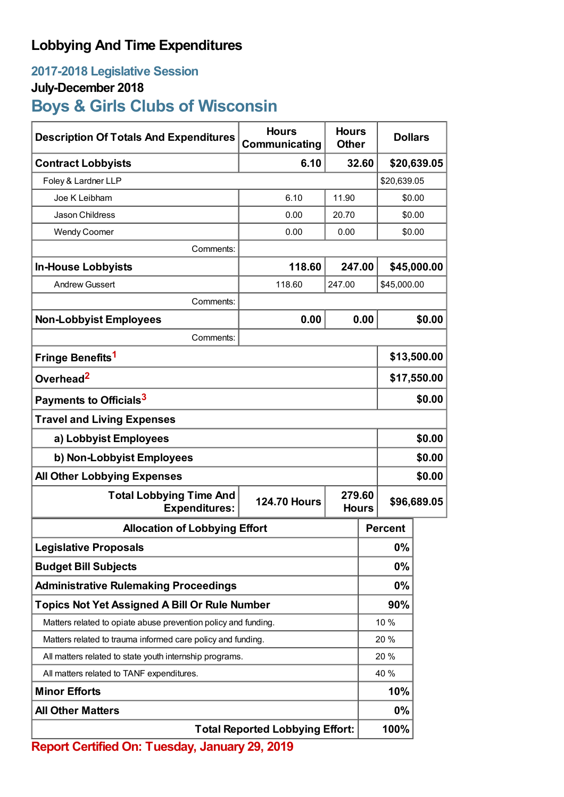## **Lobbying And Time Expenditures**

## **2017-2018 Legislative Session**

### **July-December 2018**

# **Boys & Girls Clubs of Wisconsin**

| <b>Description Of Totals And Expenditures</b>                  | <b>Hours</b><br>Communicating | <b>Hours</b><br><b>Other</b> |       | <b>Dollars</b> |             |
|----------------------------------------------------------------|-------------------------------|------------------------------|-------|----------------|-------------|
| <b>Contract Lobbyists</b>                                      | 6.10                          |                              | 32.60 |                | \$20,639.05 |
| Foley & Lardner LLP                                            |                               |                              |       | \$20,639.05    |             |
| Joe K Leibham                                                  | 6.10                          | 11.90                        |       | \$0.00         |             |
| Jason Childress                                                | 0.00                          | 20.70                        |       | \$0.00         |             |
| <b>Wendy Coomer</b>                                            | 0.00                          | 0.00                         |       | \$0.00         |             |
| Comments:                                                      |                               |                              |       |                |             |
| <b>In-House Lobbyists</b>                                      | 118.60                        | 247.00                       |       | \$45,000.00    |             |
| <b>Andrew Gussert</b>                                          | 118.60                        | 247.00                       |       | \$45,000.00    |             |
| Comments:                                                      |                               |                              |       |                |             |
| <b>Non-Lobbyist Employees</b>                                  | 0.00                          |                              | 0.00  |                | \$0.00      |
| Comments:                                                      |                               |                              |       |                |             |
| Fringe Benefits <sup>1</sup>                                   |                               |                              |       | \$13,500.00    |             |
| Overhead <sup>2</sup>                                          |                               |                              |       | \$17,550.00    |             |
| Payments to Officials <sup>3</sup>                             |                               |                              |       | \$0.00         |             |
| <b>Travel and Living Expenses</b>                              |                               |                              |       |                |             |
| a) Lobbyist Employees                                          |                               |                              |       | \$0.00         |             |
| b) Non-Lobbyist Employees                                      |                               |                              |       | \$0.00         |             |
| <b>All Other Lobbying Expenses</b>                             |                               |                              |       |                | \$0.00      |
| <b>Total Lobbying Time And</b><br><b>Expenditures:</b>         | <b>124.70 Hours</b>           | 279.60<br><b>Hours</b>       |       | \$96,689.05    |             |
| <b>Allocation of Lobbying Effort</b>                           |                               |                              |       | <b>Percent</b> |             |
| <b>Legislative Proposals</b>                                   |                               |                              |       | 0%             |             |
| <b>Budget Bill Subjects</b>                                    |                               |                              |       | 0%             |             |
| <b>Administrative Rulemaking Proceedings</b>                   |                               |                              |       | 0%             |             |
| <b>Topics Not Yet Assigned A Bill Or Rule Number</b>           |                               |                              |       | 90%            |             |
| Matters related to opiate abuse prevention policy and funding. |                               |                              |       | 10 %           |             |
| Matters related to trauma informed care policy and funding.    |                               |                              |       | 20 %           |             |
| All matters related to state youth internship programs.        |                               |                              | 20 %  |                |             |
| All matters related to TANF expenditures.                      |                               |                              |       | 40 %           |             |
| <b>Minor Efforts</b>                                           |                               |                              |       | 10%            |             |
| <b>All Other Matters</b>                                       |                               |                              |       | 0%             |             |
| <b>Total Reported Lobbying Effort:</b>                         |                               |                              |       | 100%           |             |

**Report Certified On: Tuesday, January 29, 2019**